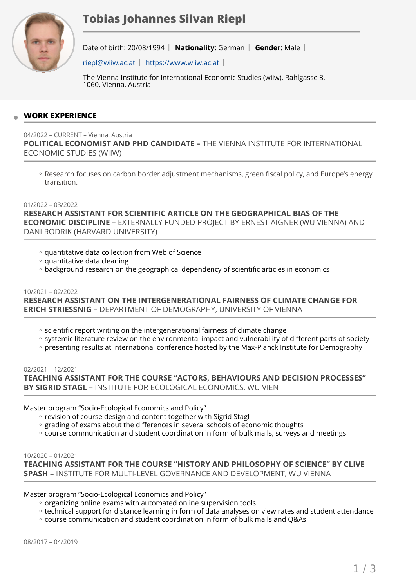

# **Tobias Johannes Silvan Riepl**

Date of birth: 20/08/1994 | Nationality: German | Gender: Male |

 $riep@wiiw.ac.at$  | <https://www.wiiw.ac.at>|

The Vienna Institute for International Economic Studies (wiiw), Rahlgasse 3, 1060, Vienna, Austria

# **WORK EXPERIENCE**

04/2022 – CURRENT – Vienna, Austria

**POLITICAL ECONOMIST AND PHD CANDIDATE –** THE VIENNA INSTITUTE FOR INTERNATIONAL ECONOMIC STUDIES (WIIW)

◦ Research focuses on carbon border adjustment mechanisms, green fiscal policy, and Europe's energy transition.

#### 01/2022 – 03/2022

**RESEARCH ASSISTANT FOR SCIENTIFIC ARTICLE ON THE GEOGRAPHICAL BIAS OF THE ECONOMIC DISCIPLINE –** EXTERNALLY FUNDED PROJECT BY ERNEST AIGNER (WU VIENNA) AND DANI RODRIK (HARVARD UNIVERSITY)

- quantitative data collection from Web of Science ◦
- quantitative data cleaning ◦
- background research on the geographical dependency of scientific articles in economics

# 10/2021 – 02/2022 **RESEARCH ASSISTANT ON THE INTERGENERATIONAL FAIRNESS OF CLIMATE CHANGE FOR ERICH STRIESSNIG –** DEPARTMENT OF DEMOGRAPHY, UNIVERSITY OF VIENNA

- scientific report writing on the intergenerational fairness of climate change
- systemic literature review on the environmental impact and vulnerability of different parts of society
- presenting results at international conference hosted by the Max-Planck Institute for Demography

02/2021 – 12/2021 **TEACHING ASSISTANT FOR THE COURSE "ACTORS, BEHAVIOURS AND DECISION PROCESSES" BY SIGRID STAGL –** INSTITUTE FOR ECOLOGICAL ECONOMICS, WU VIEN

Master program "Socio-Ecological Economics and Policy"

- revision of course design and content together with Sigrid Stagl
- grading of exams about the differences in several schools of economic thoughts
- course communication and student coordination in form of bulk mails, surveys and meetings

#### 10/2020 – 01/2021

**TEACHING ASSISTANT FOR THE COURSE "HISTORY AND PHILOSOPHY OF SCIENCE" BY CLIVE SPASH –** INSTITUTE FOR MULTI-LEVEL GOVERNANCE AND DEVELOPMENT, WU VIENNA

Master program "Socio-Ecological Economics and Policy"

- organizing online exams with automated online supervision tools
- technical support for distance learning in form of data analyses on view rates and student attendance ◦
- course communication and student coordination in form of bulk mails and Q&As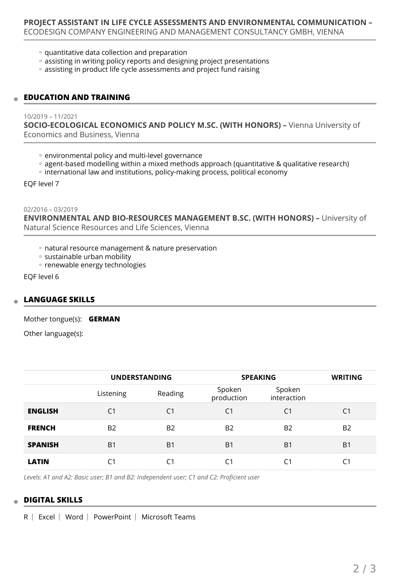- quantitative data collection and preparation
- assisting in writing policy reports and designing project presentations
- assisting in product life cycle assessments and project fund raising

## **EDUCATION AND TRAINING**

#### 10/2019 – 11/2021

**SOCIO-ECOLOGICAL ECONOMICS AND POLICY M.SC. (WITH HONORS) –** Vienna University of Economics and Business, Vienna

- environmental policy and multi-level governance
- agent-based modelling within a mixed methods approach (quantitative & qualitative research)
- international law and institutions, policy-making process, political economy

EQF level 7

02/2016 – 03/2019

**ENVIRONMENTAL AND BIO-RESOURCES MANAGEMENT B.SC. (WITH HONORS) –** University of Natural Science Resources and Life Sciences, Vienna

- natural resource management & nature preservation ◦
- sustainable urban mobility
- renewable energy technologies

EQF level 6

## **LANGUAGE SKILLS**

Mother tongue(s): **GERMAN**

Other language(s):

|                | <b>UNDERSTANDING</b> |                | <b>SPEAKING</b>      |                       | <b>WRITING</b> |
|----------------|----------------------|----------------|----------------------|-----------------------|----------------|
|                | Listening            | Reading        | Spoken<br>production | Spoken<br>interaction |                |
| <b>ENGLISH</b> | C <sub>1</sub>       | C <sub>1</sub> | C <sub>1</sub>       | C <sub>1</sub>        | C1             |
| <b>FRENCH</b>  | <b>B2</b>            | <b>B2</b>      | B <sub>2</sub>       | B <sub>2</sub>        | B <sub>2</sub> |
| <b>SPANISH</b> | B <sub>1</sub>       | B <sub>1</sub> | B <sub>1</sub>       | B <sub>1</sub>        | B <sub>1</sub> |
| <b>LATIN</b>   | C <sub>1</sub>       | C <sub>1</sub> | C1                   | C1                    | C1             |

*Levels: A1 and A2: Basic user; B1 and B2: Independent user; C1 and C2: Proficient user*

## **DIGITAL SKILLS**

 $R$  Excel Word PowerPoint Microsoft Teams